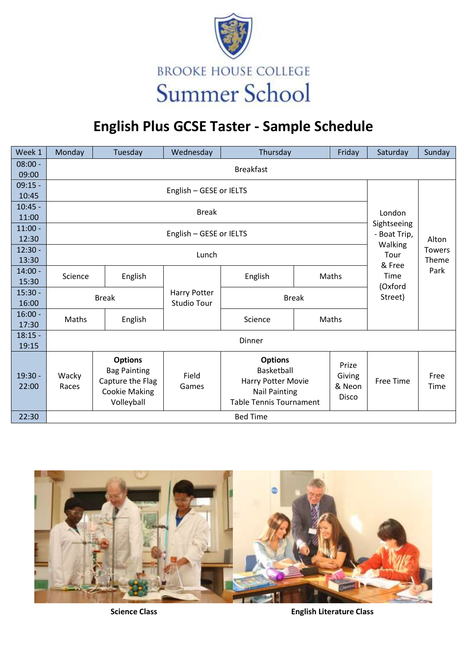

## **English Plus GCSE Taster - Sample Schedule**

| Week 1             | Monday                   | Tuesday                                                                                         | Wednesday          | Thursday                                                                                                     |  | Friday                                    | Saturday                   | Sunday        |  |  |  |  |  |
|--------------------|--------------------------|-------------------------------------------------------------------------------------------------|--------------------|--------------------------------------------------------------------------------------------------------------|--|-------------------------------------------|----------------------------|---------------|--|--|--|--|--|
| $08:00 -$          | <b>Breakfast</b>         |                                                                                                 |                    |                                                                                                              |  |                                           |                            |               |  |  |  |  |  |
| 09:00              |                          |                                                                                                 |                    |                                                                                                              |  |                                           |                            |               |  |  |  |  |  |
| $09:15 -$          | English - GESE or IELTS  |                                                                                                 |                    |                                                                                                              |  |                                           |                            |               |  |  |  |  |  |
| 10:45              |                          |                                                                                                 |                    |                                                                                                              |  |                                           |                            |               |  |  |  |  |  |
| $10:45 -$<br>11:00 |                          | London                                                                                          |                    |                                                                                                              |  |                                           |                            |               |  |  |  |  |  |
|                    | Sightseeing              |                                                                                                 |                    |                                                                                                              |  |                                           |                            |               |  |  |  |  |  |
| $11:00 -$<br>12:30 |                          | - Boat Trip,                                                                                    | Alton              |                                                                                                              |  |                                           |                            |               |  |  |  |  |  |
| $12:30 -$          | Walking<br><b>Towers</b> |                                                                                                 |                    |                                                                                                              |  |                                           |                            |               |  |  |  |  |  |
| 13:30              | Lunch<br>Tour            |                                                                                                 |                    |                                                                                                              |  |                                           |                            |               |  |  |  |  |  |
| $14:00 -$          |                          |                                                                                                 |                    |                                                                                                              |  |                                           | & Free                     | Theme<br>Park |  |  |  |  |  |
| 15:30              |                          | English<br>Science                                                                              |                    | English                                                                                                      |  | Maths                                     | Time<br>(Oxford<br>Street) |               |  |  |  |  |  |
| $15:30 -$          |                          | <b>Break</b>                                                                                    | Harry Potter       | <b>Break</b>                                                                                                 |  |                                           |                            |               |  |  |  |  |  |
| 16:00              |                          |                                                                                                 | <b>Studio Tour</b> |                                                                                                              |  |                                           |                            |               |  |  |  |  |  |
| $16:00 -$          | Maths                    | English                                                                                         |                    | Science                                                                                                      |  | Maths                                     |                            |               |  |  |  |  |  |
| 17:30              |                          |                                                                                                 |                    |                                                                                                              |  |                                           |                            |               |  |  |  |  |  |
| $18:15 -$          | Dinner                   |                                                                                                 |                    |                                                                                                              |  |                                           |                            |               |  |  |  |  |  |
| 19:15              |                          |                                                                                                 |                    |                                                                                                              |  |                                           |                            |               |  |  |  |  |  |
| $19:30 -$<br>22:00 | Wacky<br>Races           | <b>Options</b><br><b>Bag Painting</b><br>Capture the Flag<br><b>Cookie Making</b><br>Volleyball | Field<br>Games     | <b>Options</b><br>Basketball<br>Harry Potter Movie<br><b>Nail Painting</b><br><b>Table Tennis Tournament</b> |  | Prize<br>Giving<br>& Neon<br><b>Disco</b> | <b>Free Time</b>           | Free<br>Time  |  |  |  |  |  |
| 22:30              | <b>Bed Time</b>          |                                                                                                 |                    |                                                                                                              |  |                                           |                            |               |  |  |  |  |  |



**Science Class English Literature Class**